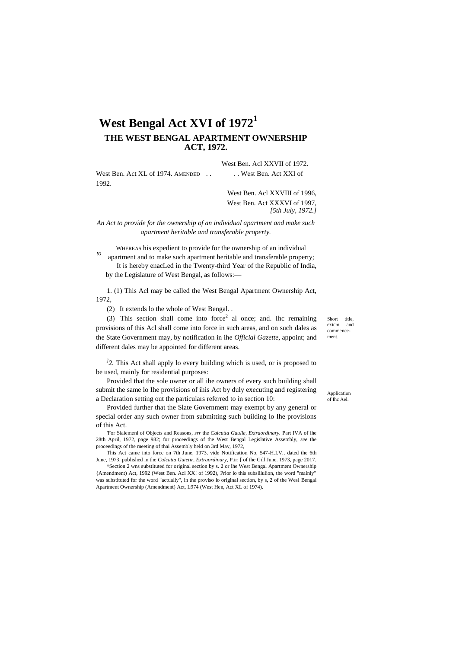# **West Bengal Act XVI of 1972<sup>1</sup> THE WEST BENGAL APARTMENT OWNERSHIP ACT, 1972.**

West Ben. Acl XXVII of 1972. West Ben. Act XL of 1974. AMENDED . . . . . . . West Ben. Act XXI of 1992.

> West Ben. Acl XXVIII of 1996, West Ben. Act XXXVI of 1997, *[5th July, 1972.]*

### *An Act to provide for the ownership of an individual apartment and make such apartment heritable and transferable property.*

WHEREAS his expedient to provide for the ownership of an individual

*to* apartment and to make such apartment heritable and transferable property; It is hereby enacLed in the Twenty-third Year of the Republic of India, by the Legislature of West Bengal, as follows:—

1. (1) This Acl may be called the West Bengal Apartment Ownership Act, 1972,

(2) It extends lo the whole of West Bengal. .

(3) This section shall come into force<sup>2</sup> al once; and. Ihc remaining provisions of this Acl shall come into force in such areas, and on such dales as the State Government may, by notification in ihe *Official Gazette,* appoint; and different dales may be appointed for different areas.

<sup>1</sup>2. This Act shall apply lo every building which is used, or is proposed to be used, mainly for residential purposes:

Provided that the sole owner or all ihe owners of every such building shall submit the same lo Ihe provisions of ihis Act by duly executing and registering a Declaration setting out the particulars referred to in section 10:

Provided further that the Slate Government may exempt by any general or special order any such owner from submitting such building lo Ihe provisions of this Act.

'For Siaiemenl of Objects and Reasons, *srr* the *Calcutta Gaulle, Extraordinary.* Part IVA of ihe 28th April, 1972, page 982; for proceedings of the West Bengal Legislative Assembly, *see* the proceedings of the meeting of thai Assembly held on 3rd May, 1972,

This Act came into forcc on 7th June, 1973, vide Notification No, 547-H.I.V., dated the 6th June, 1973, published in the *Calcutta Guietir, Extraordinary,* P.ir; [ of the Gill June. 1973, page 2017.

^Section 2 wns substituted for original section by s. 2 or ihe West Bengal Apartment Ownership {Amendment) Act, 1992 (West Ben. Acl XX! of 1992), Prior lo this subslilulion, the word "mainly" was substituted for the word "actually", in the proviso lo original section, by s, 2 of the Wesl Bengal Apartment Ownership (Amendment) Act, L974 (West Hen, Act XL of 1974).

Short title exicm and commencement.

Application of Ihc Ael.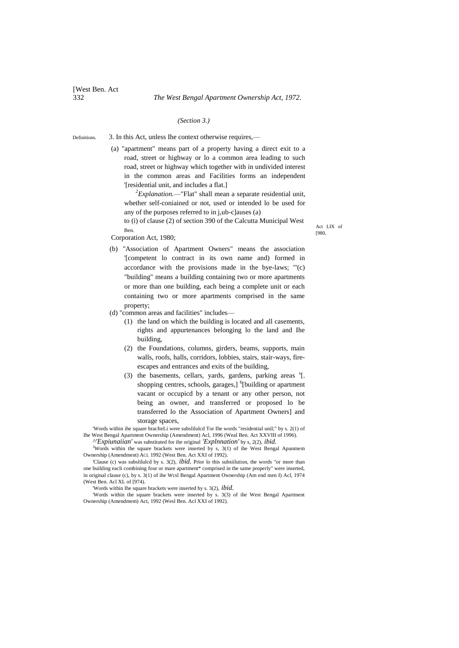[West Ben. Act

### *(Section 3.)*

Definitions. 3. In this Act, unless Ihe context otherwise requires,—

> (a) "apartment" means part of a property having a direct exit to a road, street or highway or lo a common area leading to such road, street or highway which together with in undivided interest in the common areas and Facilities forms an independent '[residential unit, and includes a flat.]

*<sup>2</sup>Explanation.*—"Flat" shall mean a separate residential unit, whether self-coniained or not, used or intended lo be used for any of the purposes referred to in j,ub-c]auses (a)

to (i) of clause (2) of section 390 of the Calcutta Municipal West Ben.

Act LIX of [980,

Corporation Act, 1980;

- (b) "Association of Apartment Owners" means the association '[competent lo contract in its own name and) formed in accordance with the provisions made in the bye-laws; "'(c) "building" means a building containing two or more apartments or more than one building, each being a complete unit or each containing two or more apartments comprised in the same property;
- (d) "common areas and facilities" includes—
	- (1) the land on which the building is located and all casements, rights and appurtenances belonging lo the land and Ihe building,
	- (2) the Foundations, columns, girders, beams, supports, main walls, roofs, halls, corridors, lobbies, stairs, stair-ways, fireescapes and entrances and exits of the building,
	- (3) the basements, cellars, yards, gardens, parking areas  ${}^s$ [. shopping centres, schools, garages,] <sup>6</sup>[building or apartment vacant or occupicd by a tenant or any other person, not being an owner, and transferred or proposed lo be transferred lo the Association of Apartment Owners] and storage spaces,

'Words within ihe square bracIteLi were subslilulcd Tor Ihe words "residential unil;" by s. 2(1) of Ihe West Bengal Apartment Ownership (Amendment) Acl, 1996 (Weal Ben. Act XXVIII of 1996).

*^'Expiunaiian'* was substituted for ihe original *'Explnnation'* by s, 2(2), *ibid.* <sup>3</sup>Words within the square brackets were inserted by s, 3(1) of ihe West Bengal Apunmem Ownership (Amendment) ACL 1992 (West Ben. Act XXI of 1992).

'Clause (c) was subslilulcd by s. 3(2), *ibid.* Prior lo this subsiilution, the words "or more than one building eacli combining four or mare apartment\* comprised in the same properly" were inserted, in original clause (c), by s. 3(1) of ihe Wcsl Bengal Apartment Ownership (Am end men I) Acl, 1974 (West Ben. Acl XL of [974).

'Words within Ihe square brackets were inserted hy s. 3(2), *ibid.*

'Words within the square brackets were inserted by s. 3(3) of ihe West Bengal Apartment Ownership (Amendmem) Act, 1992 (Wesl Ben. Acl XXI of 1992).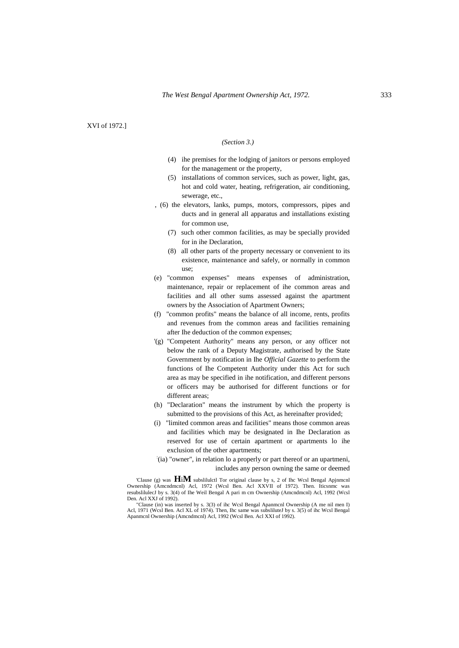XVI of 1972.]

### *(Section 3.)*

- (4) ihe premises for the lodging of janitors or persons employed for the management or the property,
- (5) installations of common services, such as power, light, gas, hot and cold water, heating, refrigeration, air conditioning, sewerage, etc.,
- , (6) the elevators, lanks, pumps, motors, compressors, pipes and ducts and in general all apparatus and installations existing for common use,
	- (7) such other common facilities, as may be specially provided for in ihe Declaration,
	- (8) all other parts of the property necessary or convenient to its existence, maintenance and safely, or normally in common use;
- (e) "common expenses" means expenses of administration, maintenance, repair or replacement of ihe common areas and facilities and all other sums assessed against the apartment owners by the Association of Apartment Owners;
- (f) "common profits" means the balance of all income, rents, profits and revenues from the common areas and facilities remaining after Ihe deduction of the common expenses;
- '(g) "Competent Authority" means any person, or any officer not below the rank of a Deputy Magistrate, authorised by the State Government by notification in Ihe *Official Gazette* to perform the functions of Ihe Competent Authority under this Act for such area as may be specified in ihe notification, and different persons or officers may be authorised for different functions or for different areas;
- (h) "Declaration" means the instrument by which the property is submitted to the provisions of this Act, as hereinafter provided;
- (i) "limited common areas and facilities" means those common areas and facilities which may be designated in Ihe Declaration as reserved for use of certain apartment or apartments lo ihe exclusion of the other apartments;
- : (ia) "owner", in relation lo a properly or part thereof or an upartmeni, includes any person owning the same or deemed

'Clause (g) was **H**i**M** subslilulctl Tor original clause by s, 2 of Ihc Wcsl Bengal Apjnmcnl Ownership (Amcndmcnl) Acl, 1972 (Wcsl Ben. Acl XXVII of 1972). Then. Iticsnmc was resubslilulecJ by s. 3(4) of Ihe Weil Bengal A pari m cm Ownership (Amcndmcnl) Acl, 1992 (Wcsl Den. Acl XXJ of 1992).

"Clause (in) was inserted by s. 3(3) of ihc Wcsl Bengal Apanmcnl Ownership (A me nil men I) Acl, 1971 (Wcsl Ben. Acl XL of 1974). Then, Ihc same was subsliluteJ by s. 3(5) of ihc Wcsl Bengal Apanmcnl Ownership (Amcndmcnl) Acl, 1992 (Wcsl Ben. Acl XXI of 1992).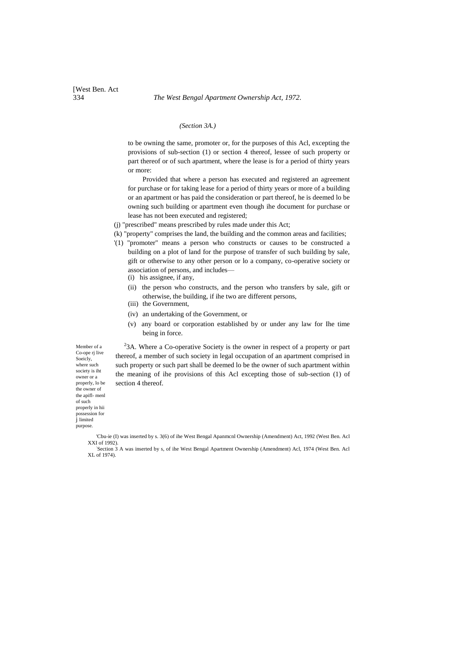*(Section 3A.)*

to be owning the same, promoter or, for the purposes of this Acl, excepting the provisions of sub-section (1) or section 4 thereof, lessee of such property or part thereof or of such apartment, where the lease is for a period of thirty years or more:

Provided that where a person has executed and registered an agreement for purchase or for taking lease for a period of thirty years or more of a building or an apartment or has paid the consideration or part thereof, he is deemed lo be owning such building or apartment even though ihe document for purchase or lease has not been executed and registered;

- (j) "prescribed" means prescribed by rules made under this Act;
- (k) "property" comprises the land, the building and the common areas and facilities;
- '(1) "promoter" means a person who constructs or causes to be constructed a building on a plot of land for the purpose of transfer of such building by sale, gift or otherwise to any other person or lo a company, co-operative society or association of persons, and includes—
	- (i) his assignee, if any,
	- (ii) the person who constructs, and the person who transfers by sale, gift or otherwise, the building, if ihe two are different persons,
	- (iii) the Government,
	- (iv) an undertaking of the Government, or
	- (v) any board or corporation established by or under any law for Ihe time being in force.

 $2<sup>2</sup>3$ A. Where a Co-operative Society is the owner in respect of a property or part thereof, a member of such society in legal occupation of an apartment comprised in such property or such part shall be deemed lo be the owner of such apartment within the meaning of ihe provisions of this Acl excepting those of sub-section (1) of section 4 thereof.

Member of a Co-ope ri live Soeicly, where such society is iht owner or a properly, lo be the owner of the apifl- menl of such properly in hii possession for *i* limited purpose.

[West Ben. Act

<sup>&#</sup>x27;Cbu-ie (I) was inserted by s. 3(6) of ihe West Bengal Apanmcnl Ownership (Amendment) Act, 1992 (West Ben. Acl XXI of 1992).

<sup>:</sup> Section 3 A was inserted by s, of ihe West Bengal Apartment Ownership (Amendment) Acl, 1974 (West Ben. Acl XL of 1974).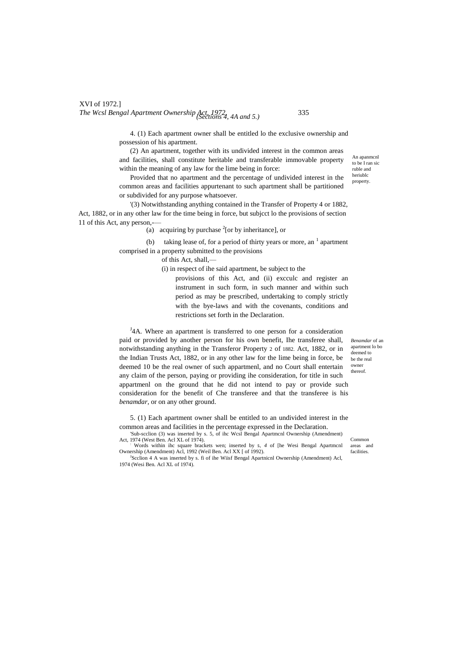# XVI of 1972.] *The Wcsl Bengal Apartment Ownership Act, 1972,* 335 *(Sections 4, 4A and 5.)*

4. (1) Each apartment owner shall be entitled lo the exclusive ownership and possession of his apartment.

(2) An apartment, together with its undivided interest in the common areas and facilities, shall constitute heritable and transferable immovable property within the meaning of any law for the lime being in force:

Provided that no apartment and the percentage of undivided interest in the common areas and facilities appurtenant to such apartment shall be partitioned or subdivided for any purpose whatsoever.

'(3) Notwithstanding anything contained in the Transfer of Property 4 or 1882, Act, 1882, or in any other law for the time being in force, but subjcct lo the provisions of section 11 of this Act, any person,-

(a) acquiring by purchase  $2$ [or by inheritance], or

(b) taking lease of, for a period of thirty years or more, an  $<sup>1</sup>$  apartment</sup> comprised in a property submitted to the provisions

of this Act, shall,—

(i) in respect of ihe said apartment, be subject to the

provisions of this Act, and (ii) excculc and register an instrument in such form, in such manner and within such period as may be prescribed, undertaking to comply strictly with the bye-laws and with the covenants, conditions and restrictions set forth in the Declaration.

<sup>J</sup>4A. Where an apartment is transferred to one person for a consideration paid or provided by another person for his own benefit, Ihe transferee shall, notwithstanding anything in the Transferor Property 2 of 1882. Act, 1882, or in the Indian Trusts Act, 1882, or in any other law for the lime being in force, be deemed 10 be the real owner of such appartmenl, and no Court shall entertain any claim of the person, paying or providing ihe consideration, for title in such appartmenl on the ground that he did not intend to pay or provide such consideration for the benefit of Che transferee and that the transferee is his *benamdar,* or on any other ground.

5. (1) Each apartment owner shall be entitled to an undivided interest in the common areas and facilities in the percentage expressed in the Declaration.

'Sub-scclion (3) was inserted by s. 5, of ihc Wcsl Bengal Apartmcnl Ownership (Amendment) Act, 1974 (West Ben. Acl XL of 1974).

: Words within ihc square brackets wen; inserted by **5,** *4* of [he Wesi Bengal Apartmcnl Ownership (Amendment) Acl, 1992 (Weil Ben. Acl XX [ of 1992).

<sup>J</sup>Scclion 4 A was inserted by s. fi of ihe Wiisf Bengal Apartnicnl Ownership (Amendment) Acl, 1974 (Wesi Ben. Acl XL of 1974).

*Benamdar* of an apartment lo bo deemed to be the real owner thereof.

An apanmcnl to be I ran sic ruble and heriublc property.

Common areas and facilities.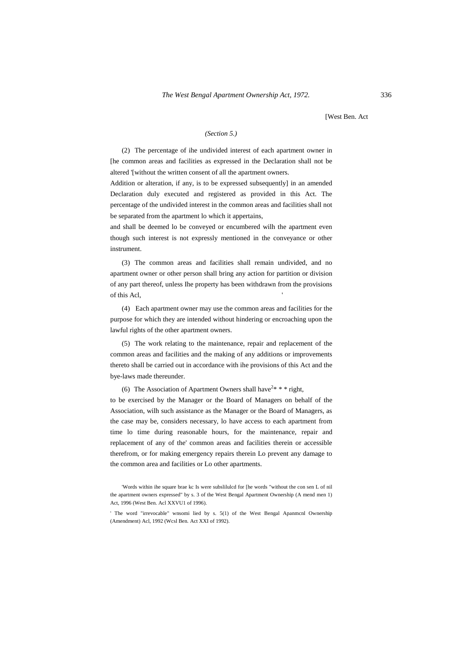[West Ben. Act

## *(Section 5.)*

(2) The percentage of ihe undivided interest of each apartment owner in [he common areas and facilities as expressed in the Declaration shall not be altered '[without the written consent of all the apartment owners.

Addition or alteration, if any, is to be expressed subsequently] in an amended Declaration duly executed and registered as provided in this Act. The percentage of the undivided interest in the common areas and facilities shall not be separated from the apartment lo which it appertains,

and shall be deemed lo be conveyed or encumbered wilh the apartment even though such interest is not expressly mentioned in the conveyance or other instrument.

(3) The common areas and facilities shall remain undivided, and no apartment owner or other person shall bring any action for partition or division of any part thereof, unless Ihe property has been withdrawn from the provisions of this Acl, '

(4) Each apartment owner may use the common areas and facilities for the purpose for which they are intended without hindering or encroaching upon the lawful rights of the other apartment owners.

(5) The work relating to the maintenance, repair and replacement of the common areas and facilities and the making of any additions or improvements thereto shall be carried out in accordance with ihe provisions of this Act and the bye-laws made thereunder.

(6) The Association of Apartment Owners shall have<sup>2\*</sup> \*\* right,

to be exercised by the Manager or the Board of Managers on behalf of the Association, wilh such assistance as the Manager or the Board of Managers, as the case may be, considers necessary, lo have access to each apartment from time lo time during reasonable hours, for the maintenance, repair and replacement of any of the' common areas and facilities therein or accessible therefrom, or for making emergency repairs therein Lo prevent any damage to the common area and facilities or Lo other apartments.

<sup>&#</sup>x27;Words within ihe square brae kc Is were subslilulcd for [he words "without the con sen L of nil the apartment owners expressed" by s. 3 of the West Bengal Apartment Ownership (A mend men 1) Act, 1996 (West Ben. Acl XXVU1 of 1996).

<sup>&#</sup>x27; The word "irrevocable" wnsomi lied by s. 5(1) of the West Bengal Apanmcnl Ownership (Amendment) Acl, 1992 (Wcsl Ben. Act XXI of 1992).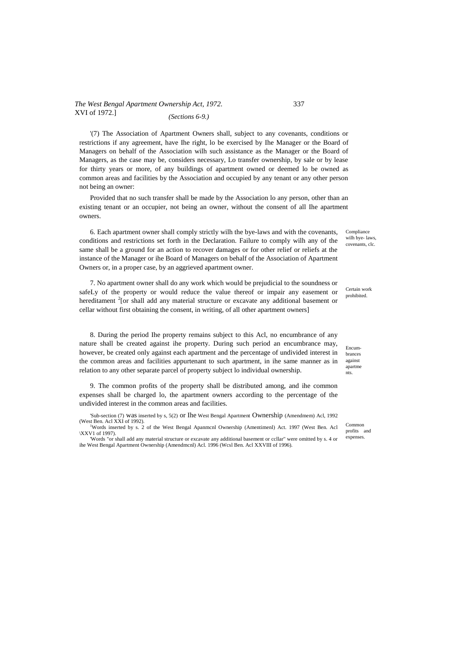### *The West Bengal Apartment Ownership Act, 1972.* 337 XVI of 1972.] *(Sections 6-9.)*

'(7) The Association of Apartment Owners shall, subject to any covenants, conditions or restrictions if any agreement, have Ihe right, lo be exercised by Ihe Manager or the Board of Managers on behalf of the Association wilh such assistance as the Manager or the Board of Managers, as the case may be, considers necessary, Lo transfer ownership, by sale or by lease for thirty years or more, of any buildings of apartment owned or deemed lo be owned as common areas and facilities by the Association and occupied by any tenant or any other person not being an owner:

Provided that no such transfer shall be made by the Association lo any person, other than an existing tenant or an occupier, not being an owner, without the consent of all Ihe apartment owners.

6. Each apartment owner shall comply strictly wilh the bye-laws and with the covenants, conditions and restrictions set forth in the Declaration. Failure to comply wilh any of the same shall be a ground for an action to recover damages or for other relief or reliefs at the instance of the Manager or ihe Board of Managers on behalf of the Association of Apartment Owners or, in a proper case, by an aggrieved apartment owner.

7. No apartment owner shall do any work which would be prejudicial to the soundness or safeLy of the property or would reduce the value thereof or impair any easement or hereditament <sup>2</sup>[or shall add any material structure or excavate any additional basement or cellar without first obtaining the consent, in writing, of all other apartment owners]

8. During the period Ihe property remains subject to this Acl, no encumbrance of any nature shall be created against ihe property. During such period an encumbrance may, however, be created only against each apartment and the percentage of undivided interest in the common areas and facilities appurtenant to such apartment, in ihe same manner as in relation to any other separate parcel of property subject lo individual ownership.

9. The common profits of the property shall be distributed among, and ihe common expenses shall be charged lo, the apartment owners according to the percentage of the undivided interest in the common areas and facilities.

'Sub-section (7) was inserted by s, 5(2) or Ihe West Bengal Apartment Ownership (Amendmem) Acl, 1992 (West Ben. Acl XXI of 1992).

<sup>1</sup>Words inserted by s. 2 of the West Bengal Apanmcnl Ownership (Amentimenl) Act. 1997 (West Ben. Acl \XXV1 of 1997).

'Words "or shall add any material structure or excavate any additional basement or ccllar" were omitted by s. 4 or ihe West Bengal Apartment Ownership (Amendmcnl) Acl. 1996 (Wcsl Ben. Acl XXVIII of 1996).

Compliance wilh bye- laws, covenants, clc.

Certain work prohibited.

Encumbrances against apartme nts.

Common profits and expenses.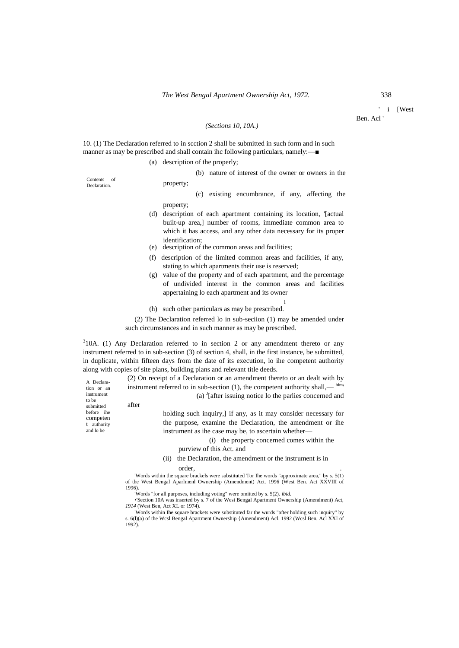' i [West Ben. Acl '

### *(Sections 10, 10A.)*

10. (1) The Declaration referred to in scction 2 shall be submitted in such form and in such manner as may be prescribed and shall contain ihc following particulars, namely:—■

(a) description of the properly;

property;

(b) nature of interest of the owner or owners in the

Contents of **Declaration** 

- (c) existing encumbrance, if any, affecting the property;
- (d) description of each apartment containing its location, '[actual built-up area,] number of rooms, immediate common area to which it has access, and any other data necessary for its proper identification;
- (e) description of the common areas and facilities;
- (f) description of the limited common areas and facilities, if any, stating to which apartments their use is reserved;
- (g) value of the property and of each apartment, and the percentage of undivided interest in the common areas and facilities appertaining lo each apartment and its owner

i

(h) such other particulars as may be prescribed.

(2) The Declaration referred lo in sub-seciion (1) may be amended under such circumstances and in such manner as may be prescribed.

 $310A$ . (1) Any Declaration referred to in section 2 or any amendment thereto or any instrument referred to in sub-section (3) of section 4, shall, in the first instance, be submitted, in duplicate, within fifteen days from the date of its execution, lo ihe competent authority along with copies of site plans, building plans and relevant title deeds.

> (2) On receipt of a Declaration or an amendment thereto or an dealt with by instrument referred to in sub-section  $(1)$ , the competent authority shall,— him (a)  $\int$ [after issuing notice lo the parlies concerned and

after

A Declaration or an instrument to be submitted before ihe competen t authority and lo be

holding such inquiry,] if any, as it may consider necessary for the purpose, examine the Declaration, the amendment or ihe instrument as ihe case may be, to ascertain whether—

(i) the property concerned comes within the

purview of this Act. and

(ii) the Declaration, the amendment or the instrument is in order, .

'Words within the square brackels were substituted Tor Ihe words "approximate area," by s. 5(1) of the West Bengal Aparlmenl Ownership (Amendment) Act. 1996 (West Ben. Act XXVIII of 1996).

'Words "for all purposes, including voting" were omitted by s. 5(2). *ibid.*

•'Section 10A was inserted by s. 7 of the Wesi Bengal Apartment Ownership (Amendment) Act, *1914* (West Ben, Act XL or 1974).

'Words within Ihe square brackets were substituted far the wurds "after holding such inquiry" by s. 6(l)(a) of the Wcsl Bengal Apartment Ownership {Amendment) Acl. 1992 (Wcsl Ben. Acl XXI of 1992).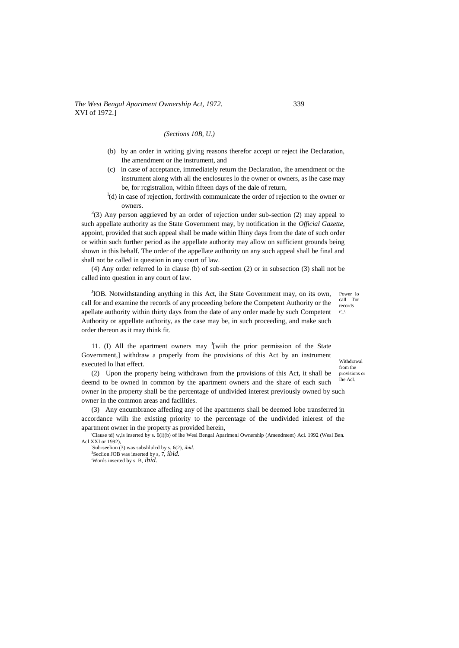### *The West Bengal Apartment Ownership Act, 1972.* 339 XVI of 1972.]

### *(Sections 10B, U.)*

- (b) by an order in writing giving reasons therefor accept or reject ihe Declaration, Ihe amendment or ihe instrument, and
- (c) in case of acceptance, immediately return the Declaration, ihe amendment or the instrument along with all the enclosures lo the owner or owners, as ihe case may be, for rcgistraiion, within fifteen days of the dale of return,
- <sup>1</sup>(d) in case of rejection, forthwith communicate the order of rejection to the owner or owners.

 $3(3)$  Any person aggrieved by an order of rejection under sub-section (2) may appeal to such appellate authority as the State Government may, by notification in the *Official Gazette,* appoint, provided that such appeal shall be made within Ihiny days from the date of such order or within such further period as ihe appellate authority may allow on sufficient grounds being shown in this behalf. The order of the appellate authority on any such appeal shall be final and shall not be called in question in any court of law.

(4) Any order referred lo in clause (b) of sub-section (2) or in subsection (3) shall not be called into question in any court of law.

JIOB. Notwithstanding anything in this Act, ihe State Government may, on its own, call for and examine the records of any proceeding before the Competent Authority or the apellate authority within thirty days from the date of any order made by such Competent Authority or appellate authority, as the case may be, in such proceeding, and make such order thereon as it may think fit.

Power lo call Tor records r' $\lambda$ 

11. (I) All the apartment owners may <sup>J</sup>[wiih the prior permission of the State Government,] withdraw a properly from ihe provisions of this Act by an instrument executed lo lhat effect.

Withdrawal from the provisions or

Ihe Acl. (2) Upon the property being withdrawn from the provisions of this Act, it shall be deemd to be owned in common by the apartment owners and the share of each such owner in the property shall be the percentage of undivided interest previously owned by such owner in the common areas and facilities.

(3) Any encumbrance affecling any of ihe apartments shall be deemed lobe transferred in accordance wilh ihe existing priority to the percentage of the undivided inierest of the apartment owner in the property as provided herein,

'Clause td) w,is inserted by s. 6(l)(b) of ihe Wesl Bengal Aparlmenl Ownership (Amendment) Acl. 1992 (Wesl Ben. Acl XXI or 1992),

: Sub-seelion (3) was subslilulcd by s. 6(2), *ibid.* 3 Seclion JOB was inserted by s, 7, *ibid.* 'Words inserted by s. B, *ibid.*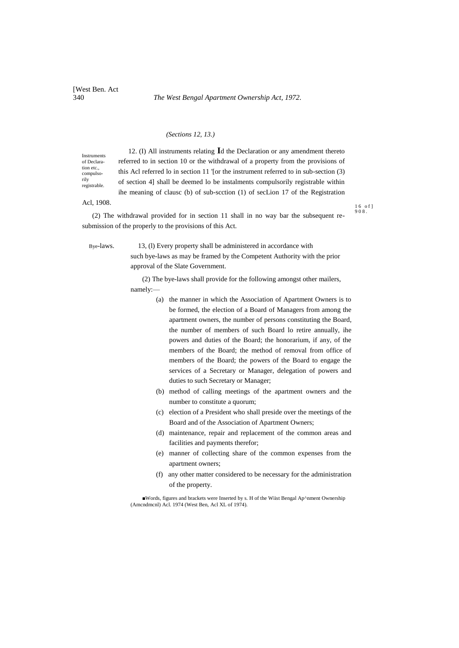### *(Sections 12, 13.)*

Instruments of Declaration etc. compulsorily registrable.

12. (I) All instruments relating **I**d the Declaration or any amendment thereto referred to in section 10 or the withdrawal of a property from the provisions of this Acl referred lo in section 11 '[or the instrument referred to in sub-section (3) of section 4] shall be deemed lo be instalments compulsorily registrable within ihe meaning of clausc (b) of sub-scction (1) of secLion 17 of the Registration

## Acl, 1908.

(2) The withdrawal provided for in section 11 shall in no way bar the subsequent resubmission of the properly to the provisions of this Act.

Bye-laws. 13, (l) Every property shall be administered in accordance with

such bye-laws as may be framed by the Competent Authority with the prior approval of the Slate Government.

(2) The bye-laws shall provide for the following amongst other mailers, namely:—

- (a) the manner in which the Association of Apartment Owners is to be formed, the election of a Board of Managers from among the apartment owners, the number of persons constituting the Board, the number of members of such Board lo retire annually, ihe powers and duties of the Board; the honorarium, if any, of the members of the Board; the method of removal from office of members of the Board; the powers of the Board to engage the services of a Secretary or Manager, delegation of powers and duties to such Secretary or Manager;
- (b) method of calling meetings of the apartment owners and the number to constitute a quorum;
- (c) election of a President who shall preside over the meetings of the Board and of the Association of Apartment Owners;
- (d) maintenance, repair and replacement of the common areas and facilities and payments therefor;
- (e) manner of collecting share of the common expenses from the apartment owners;
- (f) any other matter considered to be necessary for the administration of the property.

■Words, figures and brackets were Inserted by s. H of the Wiist Bengal Ap^nment Ownership (Amcndmcnl) Acl. 1974 (West Ben, Acl XL of 1974).

1 6 o f ] 9 0 8 .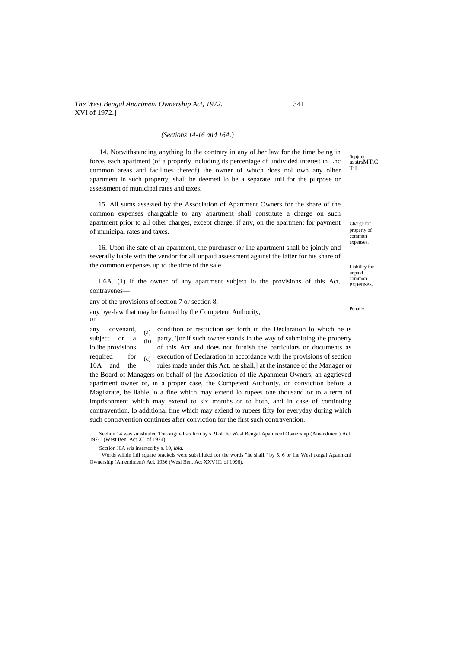### *(Sections 14-16 and 16A.)*

'14. Notwithstanding anything lo the contrary in any oLher law for the time being in force, each apartment (of a properly including its percentage of undivided interest in Lhc common areas and facilities thereof) ihe owner of which does nol own any olher apartment in such property, shall be deemed lo be a separate unii for the purpose or assessment of municipal rates and taxes.

15. All sums assessed by the Association of Apartment Owners for the share of the common expenses chargcable to any apartment shall constitute a charge on such apartment prior to all other charges, except charge, if any, on the apartment for payment of municipal rates and taxes.

16. Upon ihe sate of an apartment, the purchaser or Ihe apartment shall be jointly and severally liable with the vendor for all unpaid assessment against the latter for his share of the common expenses up to the time of the sale.

H6A. (1) If the owner of any apartment subject lo the provisions of this Act, contravenes—

any of the provisions of section 7 or section 8,

any bye-law that may be framed by the Competent Authority, or

(a) (b) (c) any covenant,  $\epsilon_0$  condition or restriction set forth in the Declaration lo which he is subject or a  $\alpha$  party, '[or if such owner stands in the way of submitting the property lo ihe provisions of this Act and does not furnish the particulars or documents as required for  $\epsilon$  execution of Declaration in accordance with Ihe provisions of section 10A and the rules made under this Act, he shall,] at the instance of the Manager or the Board of Managers on behalf of (he Association of tlie Apanment Owners, an aggrieved apartment owner or, in a proper case, the Competent Authority, on conviction before a Magistrate, be liable lo a fine which may extend lo rupees one thousand or to a term of imprisonment which may extend to six months or to both, and in case of continuing contravention, lo additional fine which may exlend to rupees fifty for everyday during which such contravention continues after conviction for the first such contravention.

'Seelion 14 was suhslituled Tor original scclion by s. 9 of lhc Wesl Bengal Apanmcnl Ownership (Amendment) Acl. 197-1 (West Ben. Act XL of 1974).

: Scc(ion I6A wis inserted by s. 10, *ibid.*

<sup>1</sup> Words wilhin ihii square brackcls were subslilulcd for the words "he shall," by 5. 6 or Ihe Wesl tkngal Apanmcnl Ownership (Amendment) Acl, 1936 (Wesl Ben. Act XXV1I1 of 1996).

Scpiraic asstrsMTiC TiL

Charge for property of common expenses.

Liability for unpaid common expenses.

Penally,